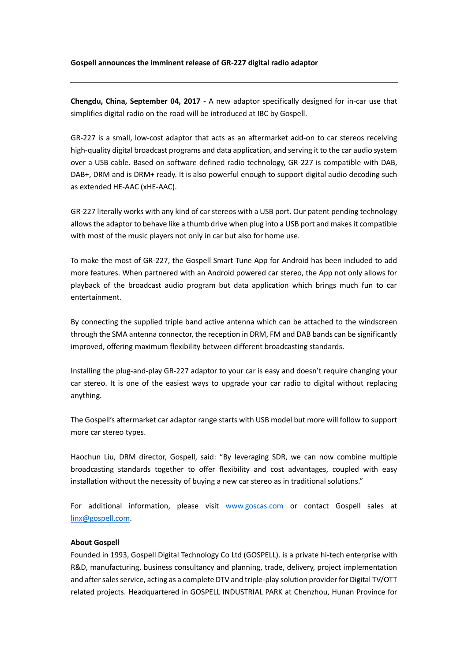**Chengdu, China, September 04, 2017 -** A new adaptor specifically designed for in-car use that simplifies digital radio on the road will be introduced at IBC by Gospell.

GR-227 is a small, low-cost adaptor that acts as an aftermarket add-on to car stereos receiving high-quality digital broadcast programs and data application, and serving it to the car audio system over a USB cable. Based on software defined radio technology, GR-227 is compatible with DAB, DAB+, DRM and is DRM+ ready. It is also powerful enough to support digital audio decoding such as extended HE-AAC (xHE-AAC).

GR-227 literally works with any kind of car stereos with a USB port. Our patent pending technology allows the adaptor to behave like a thumb drive when plug into a USB port and makes it compatible with most of the music players not only in car but also for home use.

To make the most of GR-227, the Gospell Smart Tune App for Android has been included to add more features. When partnered with an Android powered car stereo, the App not only allows for playback of the broadcast audio program but data application which brings much fun to car entertainment.

By connecting the supplied triple band active antenna which can be attached to the windscreen through the SMA antenna connector, the reception in DRM, FM and DAB bands can be significantly improved, offering maximum flexibility between different broadcasting standards.

Installing the plug-and-play GR-227 adaptor to your car is easy and doesn't require changing your car stereo. It is one of the easiest ways to upgrade your car radio to digital without replacing anything.

The Gospell's aftermarket car adaptor range starts with USB model but more will follow to support more car stereo types.

Haochun Liu, DRM director, Gospell, said: "By leveraging SDR, we can now combine multiple broadcasting standards together to offer flexibility and cost advantages, coupled with easy installation without the necessity of buying a new car stereo as in traditional solutions."

For additional information, please visit [www.goscas.com](http://www.goscas.com/) or contact Gospell sales at [linx@gospell.com.](mailto:linx@gospell.com)

## **About Gospell**

Founded in 1993, Gospell Digital Technology Co Ltd (GOSPELL). is a private hi-tech enterprise with R&D, manufacturing, business consultancy and planning, trade, delivery, project implementation and after sales service, acting as a complete DTV and triple-play solution provider for Digital TV/OTT related projects. Headquartered in GOSPELL INDUSTRIAL PARK at Chenzhou, Hunan Province for